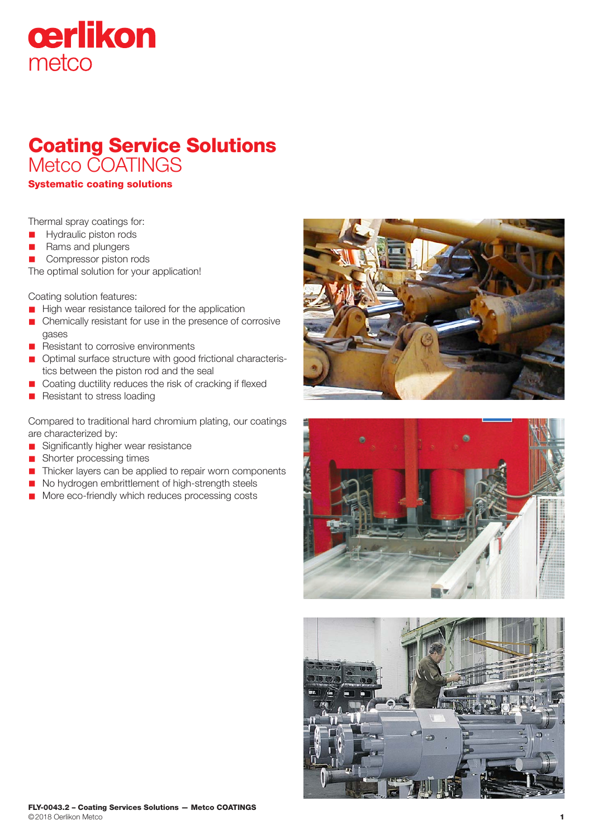## cerlikon metco

## Coating Service Solutions Metco COATINGS

Systematic coating solutions

Thermal spray coatings for:

- Hydraulic piston rods
- Rams and plungers

**n** Compressor piston rods

The optimal solution for your application!

Coating solution features:

- **n** High wear resistance tailored for the application
- Chemically resistant for use in the presence of corrosive gases
- Resistant to corrosive environments
- n Optimal surface structure with good frictional characteristics between the piston rod and the seal
- Coating ductility reduces the risk of cracking if flexed
- **n** Resistant to stress loading

Compared to traditional hard chromium plating, our coatings are characterized by:

- **n** Significantly higher wear resistance
- **n** Shorter processing times
- n Thicker layers can be applied to repair worn components
- n No hydrogen embrittlement of high-strength steels
- More eco-friendly which reduces processing costs